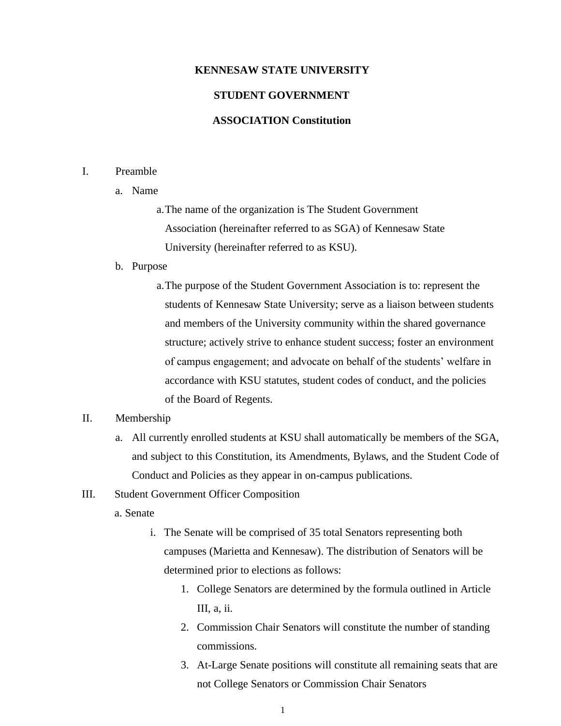### **KENNESAW STATE UNIVERSITY**

# **STUDENT GOVERNMENT**

## **ASSOCIATION Constitution**

### I. Preamble

a. Name

a.The name of the organization is The Student Government Association (hereinafter referred to as SGA) of Kennesaw State University (hereinafter referred to as KSU).

#### b. Purpose

a.The purpose of the Student Government Association is to: represent the students of Kennesaw State University; serve as a liaison between students and members of the University community within the shared governance structure; actively strive to enhance student success; foster an environment of campus engagement; and advocate on behalf of the students' welfare in accordance with KSU statutes, student codes of conduct, and the policies of the Board of Regents.

## II. Membership

- a. All currently enrolled students at KSU shall automatically be members of the SGA, and subject to this Constitution, its Amendments, Bylaws, and the Student Code of Conduct and Policies as they appear in on-campus publications.
- III. Student Government Officer Composition
	- a. Senate
		- i. The Senate will be comprised of 35 total Senators representing both campuses (Marietta and Kennesaw). The distribution of Senators will be determined prior to elections as follows:
			- 1. College Senators are determined by the formula outlined in Article III, a, ii.
			- 2. Commission Chair Senators will constitute the number of standing commissions.
			- 3. At-Large Senate positions will constitute all remaining seats that are not College Senators or Commission Chair Senators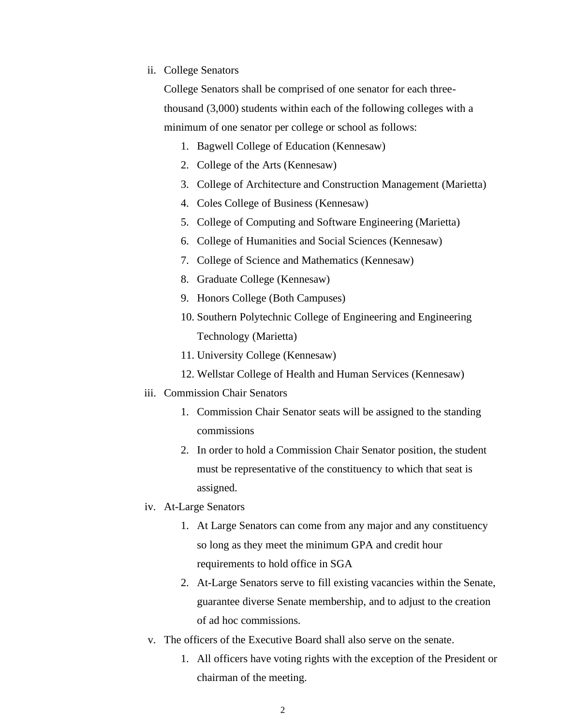ii. College Senators

College Senators shall be comprised of one senator for each threethousand (3,000) students within each of the following colleges with a minimum of one senator per college or school as follows:

- 1. Bagwell College of Education (Kennesaw)
- 2. College of the Arts (Kennesaw)
- 3. College of Architecture and Construction Management (Marietta)
- 4. Coles College of Business (Kennesaw)
- 5. College of Computing and Software Engineering (Marietta)
- 6. College of Humanities and Social Sciences (Kennesaw)
- 7. College of Science and Mathematics (Kennesaw)
- 8. Graduate College (Kennesaw)
- 9. Honors College (Both Campuses)
- 10. Southern Polytechnic College of Engineering and Engineering Technology (Marietta)
- 11. University College (Kennesaw)
- 12. Wellstar College of Health and Human Services (Kennesaw)
- iii. Commission Chair Senators
	- 1. Commission Chair Senator seats will be assigned to the standing commissions
	- 2. In order to hold a Commission Chair Senator position, the student must be representative of the constituency to which that seat is assigned.
- iv. At-Large Senators
	- 1. At Large Senators can come from any major and any constituency so long as they meet the minimum GPA and credit hour requirements to hold office in SGA
	- 2. At-Large Senators serve to fill existing vacancies within the Senate, guarantee diverse Senate membership, and to adjust to the creation of ad hoc commissions.
- v. The officers of the Executive Board shall also serve on the senate.
	- 1. All officers have voting rights with the exception of the President or chairman of the meeting.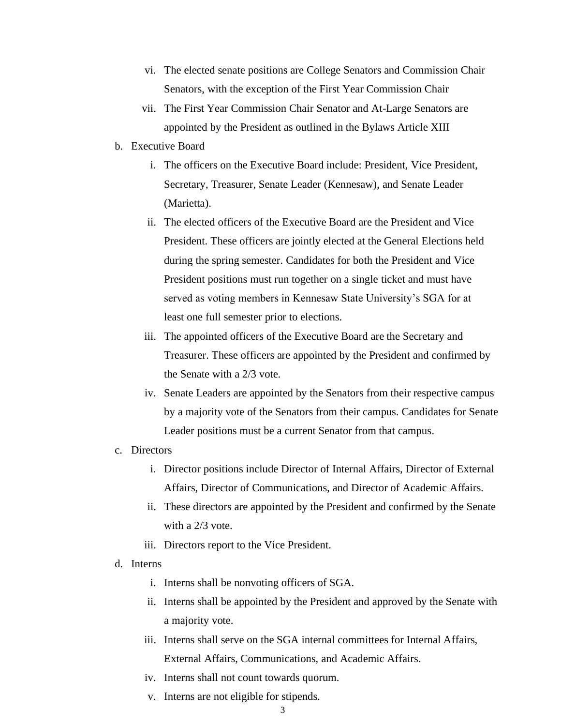- vi. The elected senate positions are College Senators and Commission Chair Senators, with the exception of the First Year Commission Chair
- vii. The First Year Commission Chair Senator and At-Large Senators are appointed by the President as outlined in the Bylaws Article XIII
- b. Executive Board
	- i. The officers on the Executive Board include: President, Vice President, Secretary, Treasurer, Senate Leader (Kennesaw), and Senate Leader (Marietta).
	- ii. The elected officers of the Executive Board are the President and Vice President. These officers are jointly elected at the General Elections held during the spring semester. Candidates for both the President and Vice President positions must run together on a single ticket and must have served as voting members in Kennesaw State University's SGA for at least one full semester prior to elections.
	- iii. The appointed officers of the Executive Board are the Secretary and Treasurer. These officers are appointed by the President and confirmed by the Senate with a 2/3 vote.
	- iv. Senate Leaders are appointed by the Senators from their respective campus by a majority vote of the Senators from their campus. Candidates for Senate Leader positions must be a current Senator from that campus.

#### c. Directors

- i. Director positions include Director of Internal Affairs, Director of External Affairs, Director of Communications, and Director of Academic Affairs.
- ii. These directors are appointed by the President and confirmed by the Senate with a 2/3 vote.
- iii. Directors report to the Vice President.
- d. Interns
	- i. Interns shall be nonvoting officers of SGA.
	- ii. Interns shall be appointed by the President and approved by the Senate with a majority vote.
	- iii. Interns shall serve on the SGA internal committees for Internal Affairs, External Affairs, Communications, and Academic Affairs.
	- iv. Interns shall not count towards quorum.
	- v. Interns are not eligible for stipends.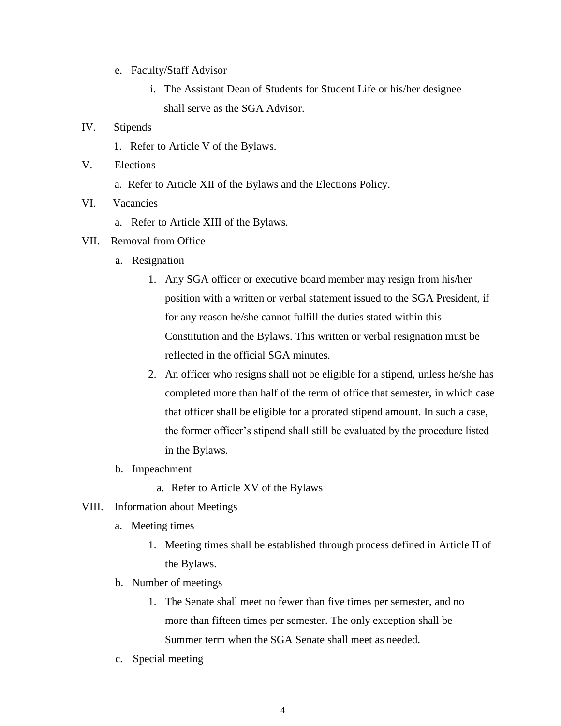- e. Faculty/Staff Advisor
	- i. The Assistant Dean of Students for Student Life or his/her designee shall serve as the SGA Advisor.

### IV. Stipends

- 1. Refer to Article V of the Bylaws.
- V. Elections
	- a. Refer to Article XII of the Bylaws and the Elections Policy.
- VI. Vacancies
	- a. Refer to Article XIII of the Bylaws.
- VII. Removal from Office
	- a. Resignation
		- 1. Any SGA officer or executive board member may resign from his/her position with a written or verbal statement issued to the SGA President, if for any reason he/she cannot fulfill the duties stated within this Constitution and the Bylaws. This written or verbal resignation must be reflected in the official SGA minutes.
		- 2. An officer who resigns shall not be eligible for a stipend, unless he/she has completed more than half of the term of office that semester, in which case that officer shall be eligible for a prorated stipend amount. In such a case, the former officer's stipend shall still be evaluated by the procedure listed in the Bylaws.
	- b. Impeachment
		- a. Refer to Article XV of the Bylaws
- VIII. Information about Meetings
	- a. Meeting times
		- 1. Meeting times shall be established through process defined in Article II of the Bylaws.
	- b. Number of meetings
		- 1. The Senate shall meet no fewer than five times per semester, and no more than fifteen times per semester. The only exception shall be Summer term when the SGA Senate shall meet as needed.
	- c. Special meeting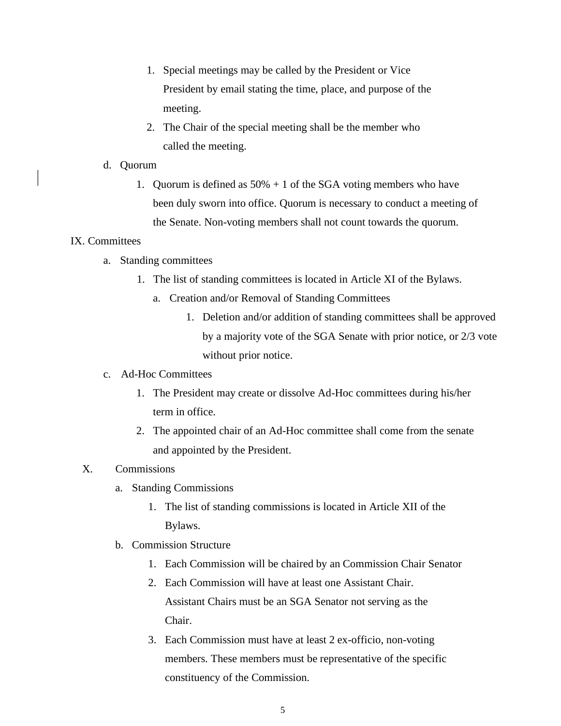- 1. Special meetings may be called by the President or Vice President by email stating the time, place, and purpose of the meeting.
- 2. The Chair of the special meeting shall be the member who called the meeting.

### d. Quorum

1. Quorum is defined as  $50\% + 1$  of the SGA voting members who have been duly sworn into office. Quorum is necessary to conduct a meeting of the Senate. Non-voting members shall not count towards the quorum.

#### IX. Committees

- a. Standing committees
	- 1. The list of standing committees is located in Article XI of the Bylaws.
		- a. Creation and/or Removal of Standing Committees
			- 1. Deletion and/or addition of standing committees shall be approved by a majority vote of the SGA Senate with prior notice, or 2/3 vote without prior notice.

### c. Ad-Hoc Committees

- 1. The President may create or dissolve Ad-Hoc committees during his/her term in office.
- 2. The appointed chair of an Ad-Hoc committee shall come from the senate and appointed by the President.

# X. Commissions

- a. Standing Commissions
	- 1. The list of standing commissions is located in Article XII of the Bylaws.
- b. Commission Structure
	- 1. Each Commission will be chaired by an Commission Chair Senator
	- 2. Each Commission will have at least one Assistant Chair. Assistant Chairs must be an SGA Senator not serving as the Chair.
	- 3. Each Commission must have at least 2 ex-officio, non-voting members. These members must be representative of the specific constituency of the Commission.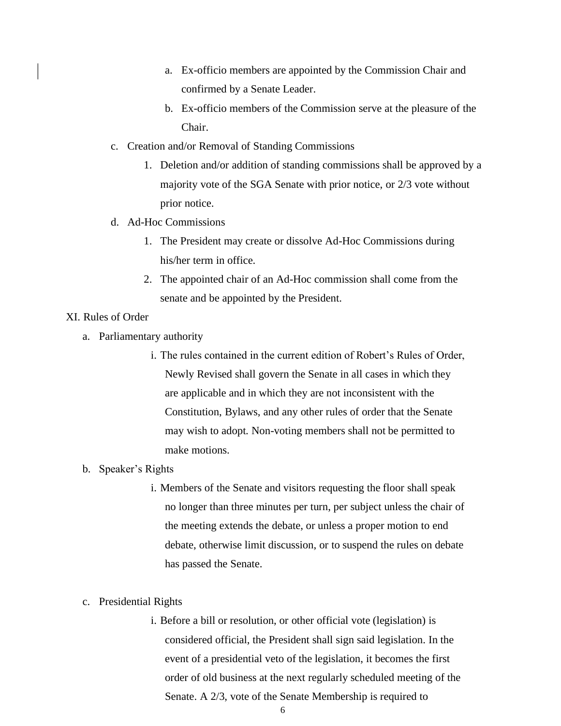- a. Ex-officio members are appointed by the Commission Chair and confirmed by a Senate Leader.
- b. Ex-officio members of the Commission serve at the pleasure of the Chair.
- c. Creation and/or Removal of Standing Commissions
	- 1. Deletion and/or addition of standing commissions shall be approved by a majority vote of the SGA Senate with prior notice, or 2/3 vote without prior notice.
- d. Ad-Hoc Commissions
	- 1. The President may create or dissolve Ad-Hoc Commissions during his/her term in office.
	- 2. The appointed chair of an Ad-Hoc commission shall come from the senate and be appointed by the President.
- XI. Rules of Order
	- a. Parliamentary authority
		- i. The rules contained in the current edition of Robert's Rules of Order, Newly Revised shall govern the Senate in all cases in which they are applicable and in which they are not inconsistent with the Constitution, Bylaws, and any other rules of order that the Senate may wish to adopt. Non-voting members shall not be permitted to make motions.
	- b. Speaker's Rights
		- i. Members of the Senate and visitors requesting the floor shall speak no longer than three minutes per turn, per subject unless the chair of the meeting extends the debate, or unless a proper motion to end debate, otherwise limit discussion, or to suspend the rules on debate has passed the Senate.
	- c. Presidential Rights
		- i. Before a bill or resolution, or other official vote (legislation) is considered official, the President shall sign said legislation. In the event of a presidential veto of the legislation, it becomes the first order of old business at the next regularly scheduled meeting of the Senate. A 2/3, vote of the Senate Membership is required to

6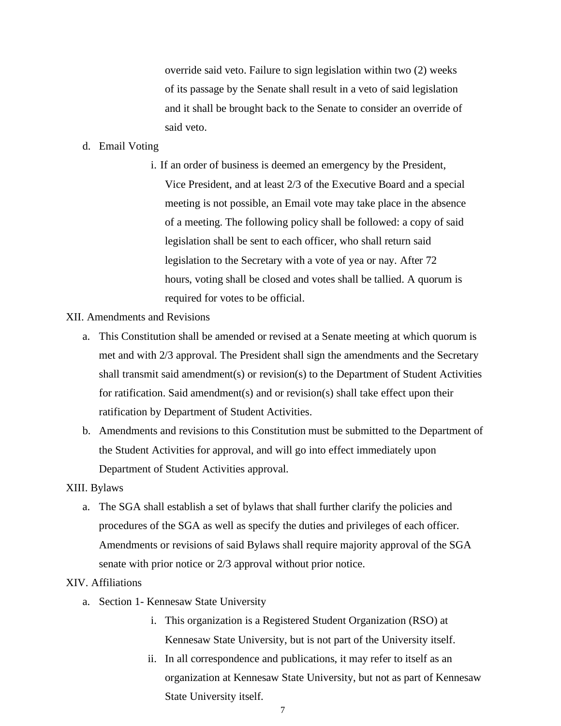override said veto. Failure to sign legislation within two (2) weeks of its passage by the Senate shall result in a veto of said legislation and it shall be brought back to the Senate to consider an override of said veto.

### d. Email Voting

i. If an order of business is deemed an emergency by the President, Vice President, and at least 2/3 of the Executive Board and a special meeting is not possible, an Email vote may take place in the absence of a meeting. The following policy shall be followed: a copy of said legislation shall be sent to each officer, who shall return said legislation to the Secretary with a vote of yea or nay. After 72 hours, voting shall be closed and votes shall be tallied. A quorum is required for votes to be official.

#### XII. Amendments and Revisions

- a. This Constitution shall be amended or revised at a Senate meeting at which quorum is met and with 2/3 approval. The President shall sign the amendments and the Secretary shall transmit said amendment(s) or revision(s) to the Department of Student Activities for ratification. Said amendment(s) and or revision(s) shall take effect upon their ratification by Department of Student Activities.
- b. Amendments and revisions to this Constitution must be submitted to the Department of the Student Activities for approval, and will go into effect immediately upon Department of Student Activities approval.

#### XIII. Bylaws

a. The SGA shall establish a set of bylaws that shall further clarify the policies and procedures of the SGA as well as specify the duties and privileges of each officer. Amendments or revisions of said Bylaws shall require majority approval of the SGA senate with prior notice or 2/3 approval without prior notice.

### XIV. Affiliations

- a. Section 1- Kennesaw State University
	- i. This organization is a Registered Student Organization (RSO) at Kennesaw State University, but is not part of the University itself.
	- ii. In all correspondence and publications, it may refer to itself as an organization at Kennesaw State University, but not as part of Kennesaw State University itself.